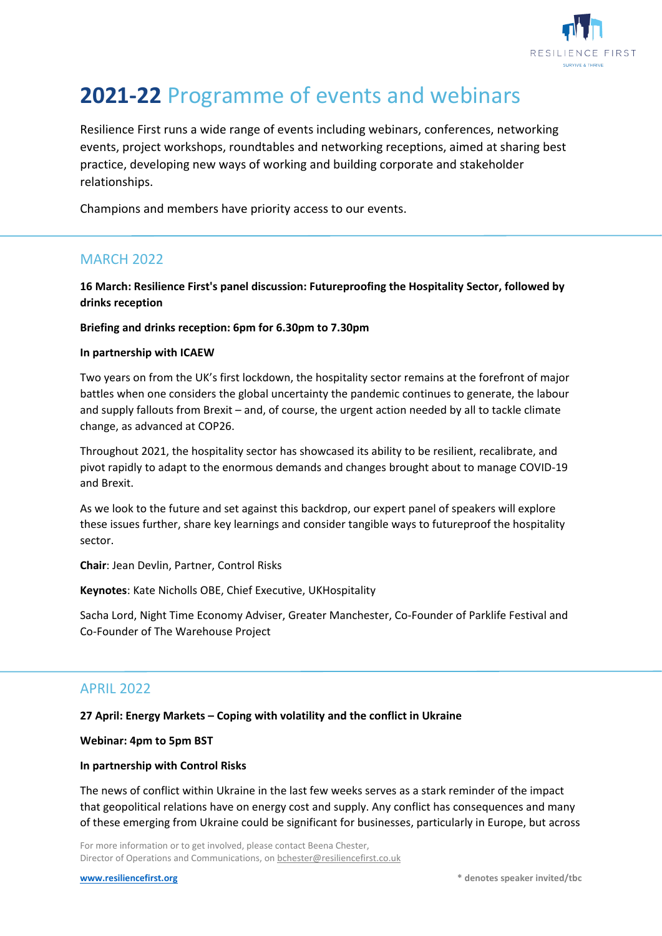

# **2021-22** Programme of events and webinars

Resilience First runs a wide range of events including webinars, conferences, networking events, project workshops, roundtables and networking receptions, aimed at sharing best practice, developing new ways of working and building corporate and stakeholder relationships.

Champions and members have priority access to our events.

# MARCH 2022

**16 March: Resilience First's panel discussion: Futureproofing the Hospitality Sector, followed by drinks reception**

#### **Briefing and drinks reception: 6pm for 6.30pm to 7.30pm**

#### **In partnership with ICAEW**

Two years on from the UK's first lockdown, the hospitality sector remains at the forefront of major battles when one considers the global uncertainty the pandemic continues to generate, the labour and supply fallouts from Brexit – and, of course, the urgent action needed by all to tackle climate change, as advanced at COP26.

Throughout 2021, the hospitality sector has showcased its ability to be resilient, recalibrate, and pivot rapidly to adapt to the enormous demands and changes brought about to manage COVID-19 and Brexit.

As we look to the future and set against this backdrop, our expert panel of speakers will explore these issues further, share key learnings and consider tangible ways to futureproof the hospitality sector.

**Chair**: Jean Devlin, Partner, Control Risks

**Keynotes**: Kate Nicholls OBE, Chief Executive, UKHospitality

Sacha Lord, Night Time Economy Adviser, Greater Manchester, Co-Founder of Parklife Festival and Co-Founder of The Warehouse Project

# APRIL 2022

#### **27 April: Energy Markets – Coping with volatility and the conflict in Ukraine**

**Webinar: 4pm to 5pm BST** 

#### **In partnership with Control Risks**

The news of conflict within Ukraine in the last few weeks serves as a stark reminder of the impact that geopolitical relations have on energy cost and supply. Any conflict has consequences and many of these emerging from Ukraine could be significant for businesses, particularly in Europe, but across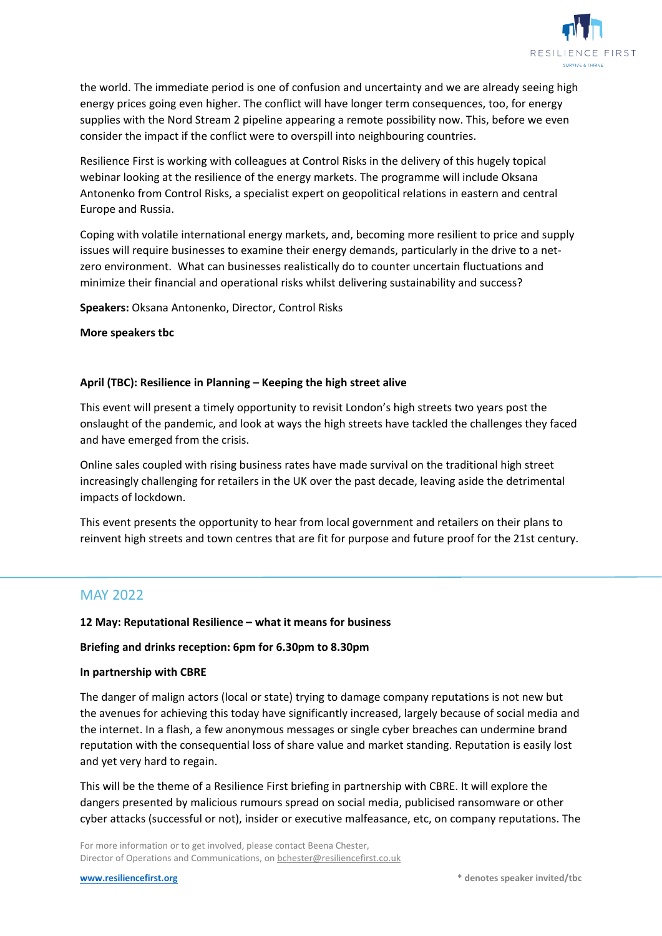

the world. The immediate period is one of confusion and uncertainty and we are already seeing high energy prices going even higher. The conflict will have longer term consequences, too, for energy supplies with the Nord Stream 2 pipeline appearing a remote possibility now. This, before we even consider the impact if the conflict were to overspill into neighbouring countries.

Resilience First is working with colleagues at Control Risks in the delivery of this hugely topical webinar looking at the resilience of the energy markets. The programme will include Oksana Antonenko from Control Risks, a specialist expert on geopolitical relations in eastern and central Europe and Russia.

Coping with volatile international energy markets, and, becoming more resilient to price and supply issues will require businesses to examine their energy demands, particularly in the drive to a netzero environment. What can businesses realistically do to counter uncertain fluctuations and minimize their financial and operational risks whilst delivering sustainability and success?

**Speakers:** Oksana Antonenko, Director, Control Risks

**More speakers tbc**

#### **April (TBC): Resilience in Planning – Keeping the high street alive**

This event will present a timely opportunity to revisit London's high streets two years post the onslaught of the pandemic, and look at ways the high streets have tackled the challenges they faced and have emerged from the crisis.

Online sales coupled with rising business rates have made survival on the traditional high street increasingly challenging for retailers in the UK over the past decade, leaving aside the detrimental impacts of lockdown.

This event presents the opportunity to hear from local government and retailers on their plans to reinvent high streets and town centres that are fit for purpose and future proof for the 21st century.

## MAY 2022

#### **12 May: Reputational Resilience – what it means for business**

#### **Briefing and drinks reception: 6pm for 6.30pm to 8.30pm**

#### **In partnership with CBRE**

The danger of malign actors (local or state) trying to damage company reputations is not new but the avenues for achieving this today have significantly increased, largely because of social media and the internet. In a flash, a few anonymous messages or single cyber breaches can undermine brand reputation with the consequential loss of share value and market standing. Reputation is easily lost and yet very hard to regain.

This will be the theme of a Resilience First briefing in partnership with CBRE. It will explore the dangers presented by malicious rumours spread on social media, publicised ransomware or other cyber attacks (successful or not), insider or executive malfeasance, etc, on company reputations. The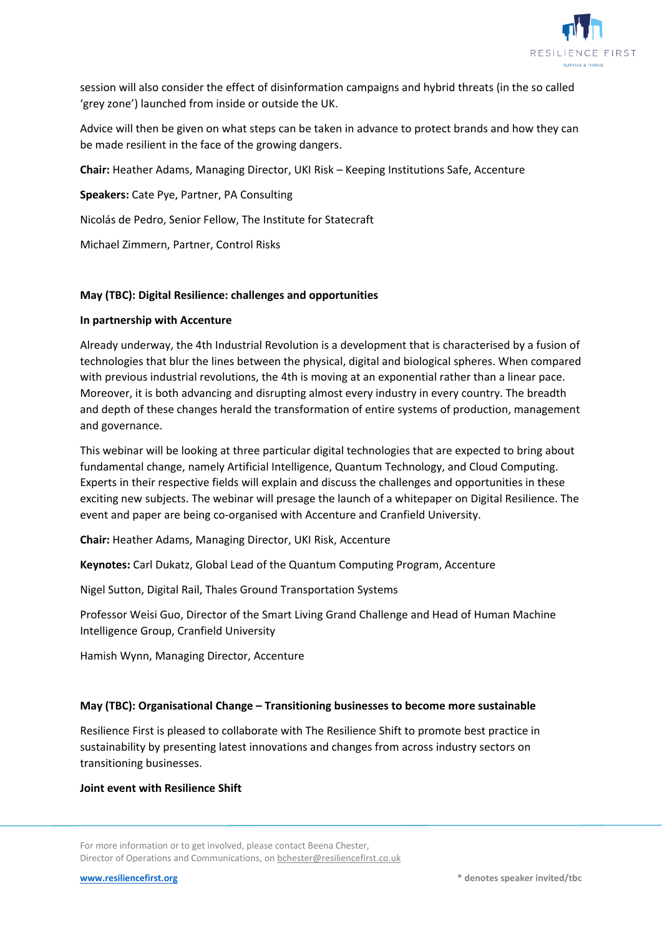

session will also consider the effect of disinformation campaigns and hybrid threats (in the so called 'grey zone') launched from inside or outside the UK.

Advice will then be given on what steps can be taken in advance to protect brands and how they can be made resilient in the face of the growing dangers.

**Chair:** Heather Adams, Managing Director, UKI Risk – Keeping Institutions Safe, Accenture

**Speakers:** Cate Pye, Partner, PA Consulting

Nicolás de Pedro, Senior Fellow, The Institute for Statecraft

Michael Zimmern, Partner, Control Risks

#### **May (TBC): Digital Resilience: challenges and opportunities**

#### **In partnership with Accenture**

Already underway, the 4th Industrial Revolution is a development that is characterised by a fusion of technologies that blur the lines between the physical, digital and biological spheres. When compared with previous industrial revolutions, the 4th is moving at an exponential rather than a linear pace. Moreover, it is both advancing and disrupting almost every industry in every country. The breadth and depth of these changes herald the transformation of entire systems of production, management and governance.

This webinar will be looking at three particular digital technologies that are expected to bring about fundamental change, namely Artificial Intelligence, Quantum Technology, and Cloud Computing. Experts in their respective fields will explain and discuss the challenges and opportunities in these exciting new subjects. The webinar will presage the launch of a whitepaper on Digital Resilience. The event and paper are being co-organised with Accenture and Cranfield University.

**Chair:** Heather Adams, Managing Director, UKI Risk, Accenture

**Keynotes:** Carl Dukatz, Global Lead of the Quantum Computing Program, Accenture

Nigel Sutton, Digital Rail, Thales Ground Transportation Systems

Professor Weisi Guo, Director of the Smart Living Grand Challenge and Head of Human Machine Intelligence Group, Cranfield University

Hamish Wynn, Managing Director, Accenture

#### **May (TBC): Organisational Change – Transitioning businesses to become more sustainable**

Resilience First is pleased to collaborate with The Resilience Shift to promote best practice in sustainability by presenting latest innovations and changes from across industry sectors on transitioning businesses.

#### **Joint event with Resilience Shift**

For more information or to get involved, please contact Beena Chester, Director of Operations and Communications, o[n bchester@resiliencefirst.co.uk](mailto:bchester@resiliencefirst.co.uk)